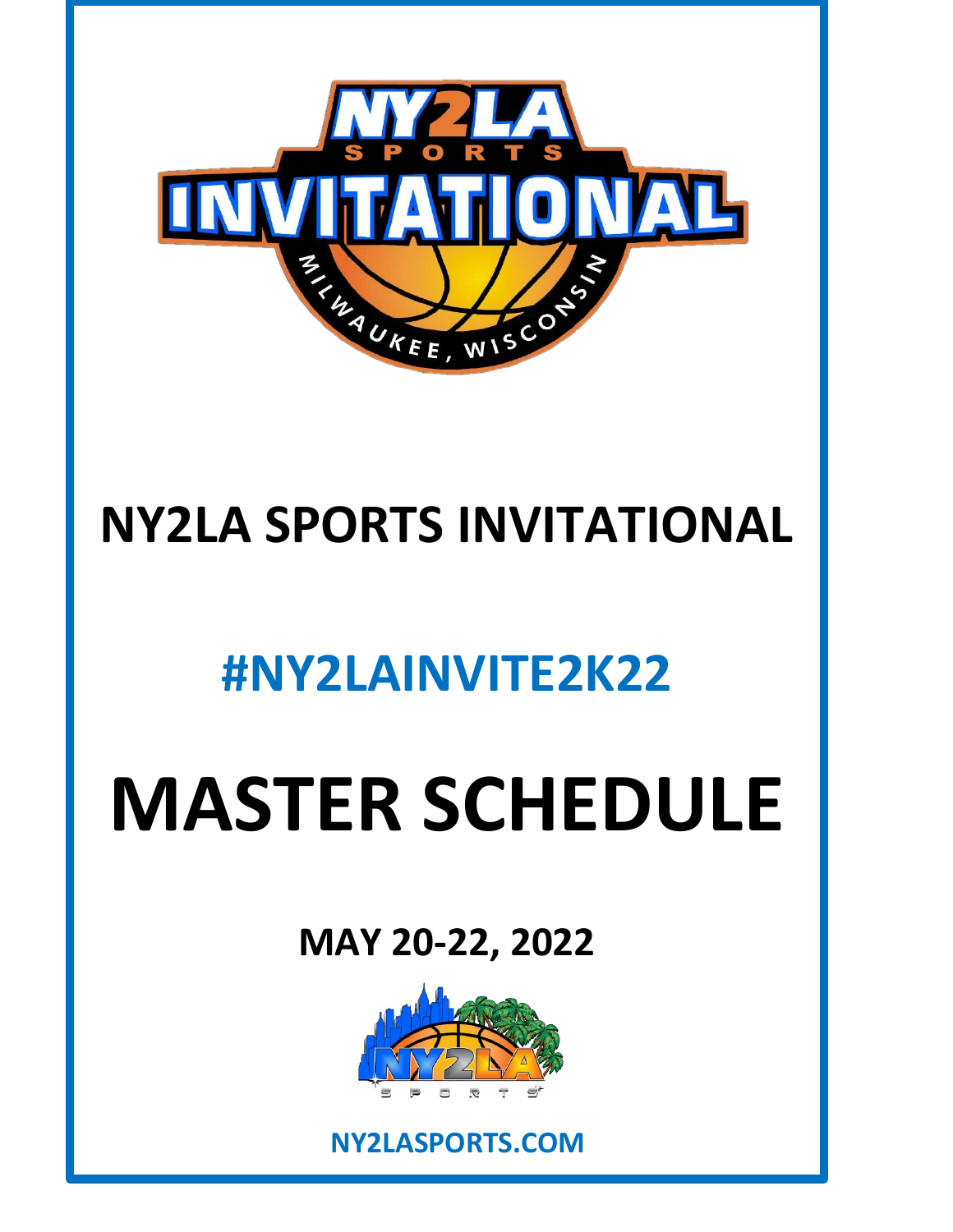

# **NY2LA SPORTS INVITATIONAL**

# **#NY2LAINVITE2K22**

# **MASTER SCHEDULE**

# **MAY 20-22, 2022**



**NY2LASPORTS.COM**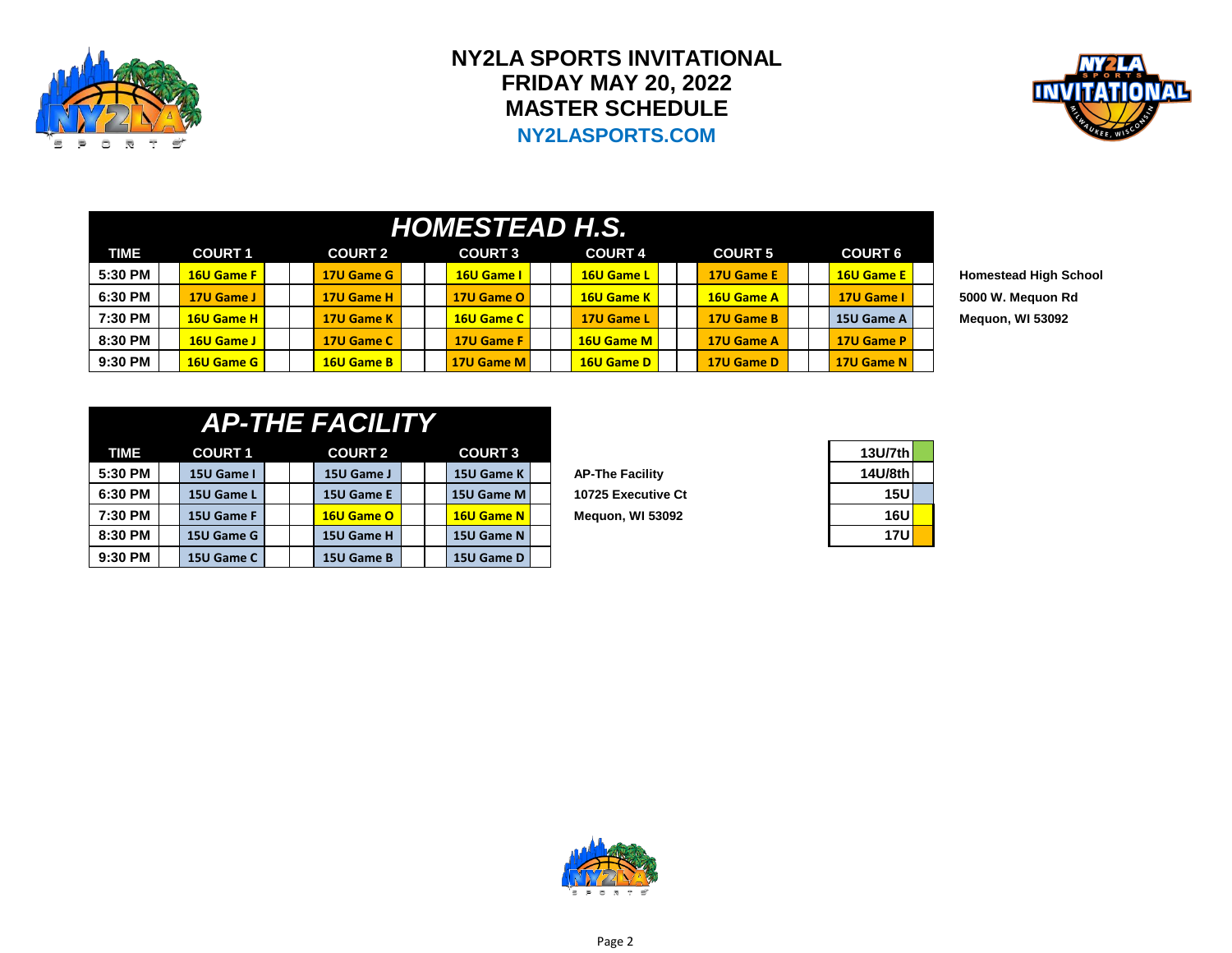

## **NY2LA SPORTS INVITATIONAL FRIDAY MAY 20, 2022 MASTER SCHEDULE NY2LASPORTS.COM**



|             | HOMESTEAD H.S. |                   |  |                   |  |                |  |                   |  |                |  |                   |  |
|-------------|----------------|-------------------|--|-------------------|--|----------------|--|-------------------|--|----------------|--|-------------------|--|
| <b>TIME</b> |                | <b>COURT 1</b>    |  | <b>COURT 2</b>    |  | <b>COURT 3</b> |  | <b>COURT 4</b>    |  | <b>COURT 5</b> |  | <b>COURT 6</b>    |  |
| 5:30 PM     |                | <b>16U Game F</b> |  | 17U Game G        |  | 16U Game I     |  | 16U Game L        |  | 17U Game E     |  | <b>16U Game E</b> |  |
| 6:30 PM     |                | 17U Game J        |  | 17U Game H        |  | 17U Game O     |  | 16U Game K        |  | 16U Game A     |  | 17U Game I        |  |
| 7:30 PM     |                | 16U Game H        |  | 17U Game K        |  | 16U Game C     |  | 17U Game L        |  | 17U Game B     |  | 15U Game A        |  |
| 8:30 PM     |                | 16U Game J        |  | 17U Game C        |  | 17U Game F     |  | <b>16U Game M</b> |  | 17U Game A     |  | 17U Game P        |  |
| 9:30 PM     |                | 16U Game G        |  | <b>16U Game B</b> |  | 17U Game M     |  | 16U Game D        |  | 17U Game D     |  | 17U Game N        |  |

**5:30 PM 16U Game F 17U Game G 16U Game I 16U Game L 17U Game E 16U Game E Homestead High School 6:30 PM 17U Game J 17U Game H 17U Game O 16U Game K 16U Game A 17U Game I 5000 W. Mequon Rd**  $M$ equon, WI 53092

|         | <b>AP-THE FACILITY</b> |            |
|---------|------------------------|------------|
| COURT 1 | COURT <sub>2</sub>     | <b>COU</b> |

| TIME    | <b>COURT 1</b> | <b>COURT 2</b> |  | <b>COURT 3</b>      |                        | 13U/7th    |
|---------|----------------|----------------|--|---------------------|------------------------|------------|
| 5:30 PM | 15U Game I     | 15U Game J     |  | 15U Game K          | <b>AP-The Facility</b> | 14U/8th    |
| 6:30 PM | 15U Game L     | 15U Game E     |  | <b>15U Game M I</b> | 10725 Executive Ct     | 15U        |
| 7:30 PM | 15U Game F     | 16U Game O     |  | <b>16U Game N</b>   | Meguon, WI 53092       | <b>16U</b> |
| 8:30 PM | 15U Game G     | 15U Game H     |  | 15U Game N          |                        | <b>17U</b> |
| 9:30 PM | 15U Game C     | 15U Game B     |  | 15U Game D          |                        |            |

| 13U/7th |  |
|---------|--|
| 14U/8th |  |
| 15U     |  |
| 16U     |  |
| 17U     |  |

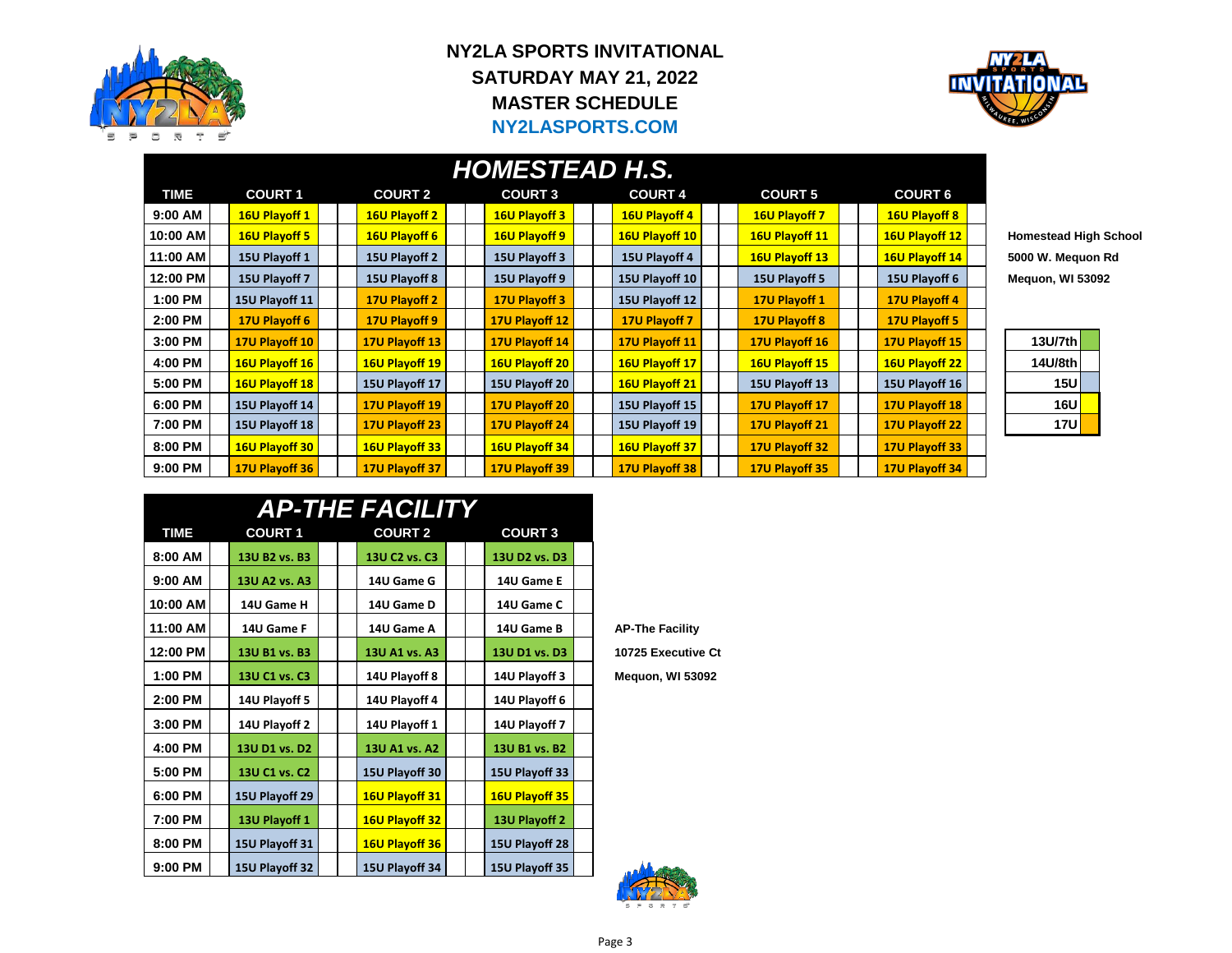

### **NY2LA SPORTS INVITATIONAL SATURDAY MAY 21, 2022 MASTER SCHEDULE NY2LASPORTS.COM**



#### **TIME COURT 1 COURT 2 COURT 3 COURT 4 COURT 5 COURT 6 9:00 AM 16U Playoff 1 16U Playoff 2 16U Playoff 3 16U Playoff 4 16U Playoff 7 16U Playoff 8 10:00 AM 16U Playoff 5 16U Playoff 6 16U Playoff 9 16U Playoff 10 16U Playoff 11 16U Playoff 12 Homestead High School 11:00 AM 15U Playoff 1 15U Playoff 2 15U Playoff 3 15U Playoff 4 16U Playoff 13 16U Playoff 14 5000 W. Mequon Rd 12:00 PM 15U Playoff 7 15U Playoff 8 15U Playoff 9 15U Playoff 10 15U Playoff 5 15U Playoff 6 Mequon, WI 53092 1:00 PM 15U Playoff 11 17U Playoff 2 17U Playoff 3 15U Playoff 12 17U Playoff 1 17U Playoff 4 2:00 PM 17U Playoff 6 17U Playoff 9 17U Playoff 12 17U Playoff 7 17U Playoff 8 17U Playoff 5 3:00 PM 17U Playoff 10 17U Playoff 13 17U Playoff 14 17U Playoff 11 17U Playoff 16 17U Playoff 15 13U/7th 4:00 PM 16U Playoff 16 16U Playoff 19 16U Playoff 20 16U Playoff 17 16U Playoff 15 16U Playoff 22 14U/8th 5:00 PM 16U Playoff 18 15U Playoff 17 15U Playoff 20 16U Playoff 21 15U Playoff 13 15U Playoff 16 15U 6:00 PM 15U Playoff 14 17U Playoff 19 17U Playoff 20 15U Playoff 15 17U Playoff 17 17U Playoff 18 16U 7:00 PM 15U Playoff 18 17U Playoff 23 17U Playoff 24 15U Playoff 19 17U Playoff 21 17U Playoff 22 17U 8:00 PM 16U Playoff 30 16U Playoff 33 16U Playoff 34 16U Playoff 37 17U Playoff 32 17U Playoff 33 9:00 PM 17U Playoff 36 17U Playoff 37 17U Playoff 39 17U Playoff 38 17U Playoff 35 17U Playoff 34** *HOMESTEAD H.S.*

| 13U/7th    |  |
|------------|--|
| 14U/8th    |  |
| <b>15U</b> |  |
| 16U        |  |
| 17U        |  |

|             |                |  | <b>AP-THE FACILITY</b>                |  |                |  |
|-------------|----------------|--|---------------------------------------|--|----------------|--|
| <b>TIME</b> | <b>COURT 1</b> |  | <b>COURT 2</b>                        |  | <b>COURT 3</b> |  |
| 8:00 AM     | 13U B2 vs. B3  |  | 13U C <sub>2</sub> vs. C <sub>3</sub> |  | 13U D2 vs. D3  |  |
| 9:00 AM     | 13U A2 vs. A3  |  | 14U Game G                            |  | 14U Game E     |  |
| 10:00 AM    | 14U Game H     |  | 14U Game D                            |  | 14U Game C     |  |
| 11:00 AM    | 14U Game F     |  | 14U Game A                            |  | 14U Game B     |  |
| 12:00 PM    | 13U B1 vs. B3  |  | 13U A1 vs. A3                         |  | 13U D1 vs. D3  |  |
| 1:00 PM     | 13U C1 vs. C3  |  | 14U Playoff 8                         |  | 14U Playoff 3  |  |
| 2:00 PM     | 14U Playoff 5  |  | 14U Playoff 4                         |  | 14U Playoff 6  |  |
| 3:00 PM     | 14U Playoff 2  |  | 14U Playoff 1                         |  | 14U Playoff 7  |  |
| 4:00 PM     | 13U D1 vs. D2  |  | 13U A1 vs. A2                         |  | 13U B1 vs. B2  |  |
| 5:00 PM     | 13U C1 vs. C2  |  | 15U Playoff 30                        |  | 15U Playoff 33 |  |
| 6:00 PM     | 15U Playoff 29 |  | 16U Playoff 31                        |  | 16U Playoff 35 |  |
| 7:00 PM     | 13U Playoff 1  |  | 16U Playoff 32                        |  | 13U Playoff 2  |  |
| 8:00 PM     | 15U Playoff 31 |  | 16U Playoff 36                        |  | 15U Playoff 28 |  |
| $9:00$ PM   | 15U Playoff 32 |  | 15U Playoff 34                        |  | 15U Playoff 35 |  |

**11:00 AM 14U Game F 14U Game A 14U Game B AP-The Facility**

**10725 Executive Ct** 

 $Mequon, W1 53092$ 



Page 3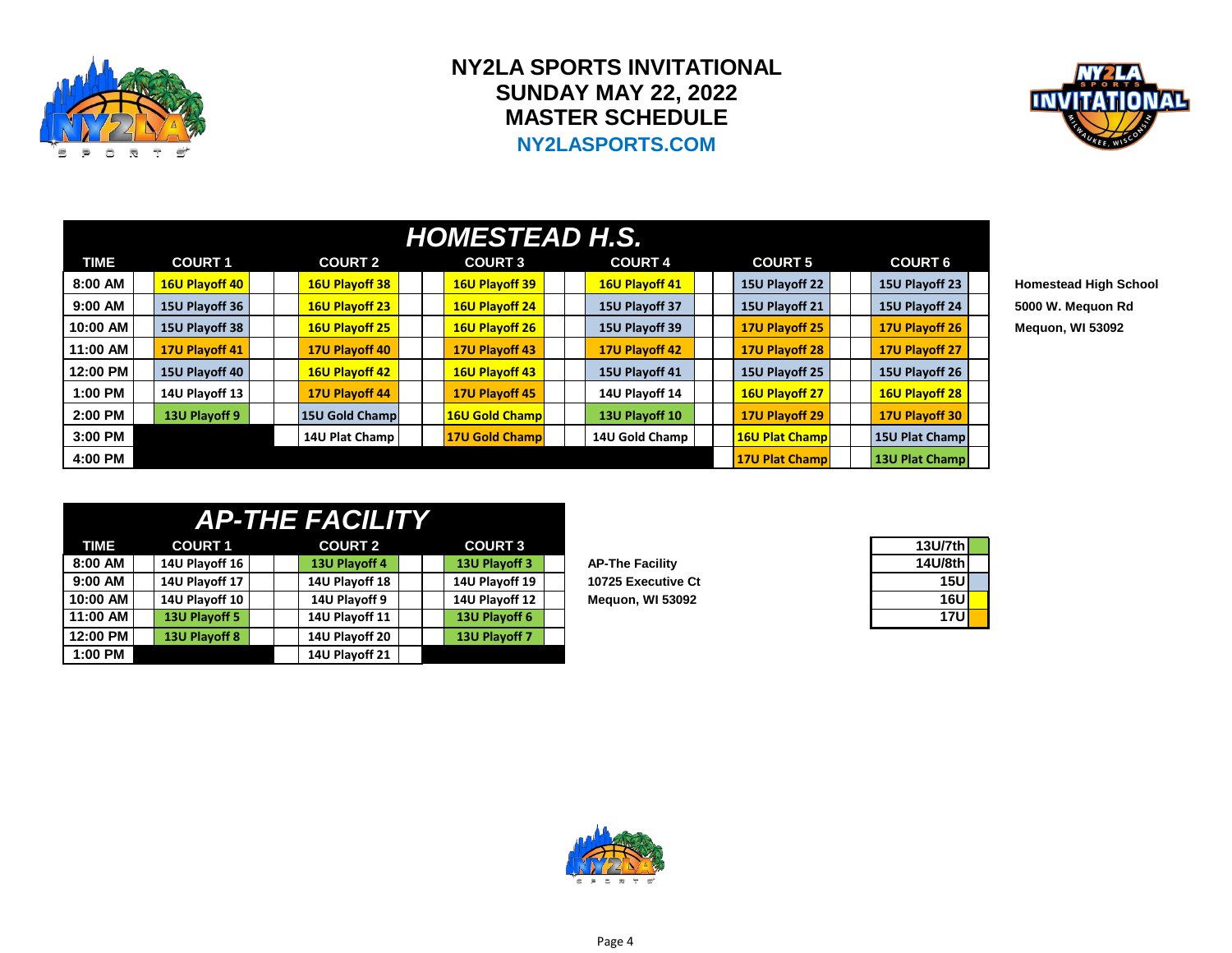

## **NY2LA SPORTS INVITATIONAL SUNDAY MAY 22, 2022 MASTER SCHEDULE NY2LASPORTS.COM**



|             | <b>HOMESTEAD H.S.</b> |  |                       |  |                |  |                |  |                |  |                |                         |  |  |  |
|-------------|-----------------------|--|-----------------------|--|----------------|--|----------------|--|----------------|--|----------------|-------------------------|--|--|--|
| <b>TIME</b> | <b>COURT 1</b>        |  | <b>COURT 2</b>        |  | <b>COURT 3</b> |  | <b>COURT 4</b> |  | <b>COURT 5</b> |  | <b>COURT 6</b> |                         |  |  |  |
| 8:00 AM     | 16U Playoff 40        |  | 16U Playoff 38        |  | 16U Playoff 39 |  | 16U Playoff 41 |  | 15U Playoff 22 |  | 15U Playoff 23 | <b>Homestead High S</b> |  |  |  |
| 9:00 AM     | 15U Playoff 36        |  | <b>16U Playoff 23</b> |  | 16U Playoff 24 |  | 15U Playoff 37 |  | 15U Playoff 21 |  | 15U Playoff 24 | 5000 W. Meguon R        |  |  |  |
| 10:00 AM    | 15U Playoff 38        |  | <b>16U Playoff 25</b> |  | 16U Playoff 26 |  | 15U Playoff 39 |  | 17U Playoff 25 |  | 17U Playoff 26 | Meguon, WI 53092        |  |  |  |
| 11:00 AM    | 17U Playoff 41        |  | 17U Playoff 40        |  | 17U Playoff 43 |  | 17U Playoff 42 |  | 17U Playoff 28 |  | 17U Playoff 27 |                         |  |  |  |
| 12:00 PM    | 15U Playoff 40        |  | 16U Playoff 42        |  | 16U Playoff 43 |  | 15U Playoff 41 |  | 15U Playoff 25 |  | 15U Playoff 26 |                         |  |  |  |
| 1:00 PM     | 14U Playoff 13        |  | 17U Playoff 44        |  | 17U Playoff 45 |  | 14U Playoff 14 |  | 16U Playoff 27 |  | 16U Playoff 28 |                         |  |  |  |
| 2:00 PM     | 13U Playoff 9         |  | 15U Gold Champ        |  | 16U Gold Champ |  | 13U Playoff 10 |  | 17U Playoff 29 |  | 17U Playoff 30 |                         |  |  |  |
| 3:00 PM     |                       |  | 14U Plat Champ        |  | 17U Gold Champ |  | 14U Gold Champ |  | 16U Plat Champ |  | 15U Plat Champ |                         |  |  |  |
| 4:00 PM     |                       |  |                       |  |                |  |                |  | 17U Plat Champ |  | 13U Plat Champ |                         |  |  |  |

 $H$ omestead High School **9:00 AM 15U Playoff 36 16U Playoff 23 16U Playoff 24 15U Playoff 37 15U Playoff 21 15U Playoff 24 5000 W. Mequon Rd**

|          |                | <b>AP-THE FACILITY</b> |                |                        |            |
|----------|----------------|------------------------|----------------|------------------------|------------|
| TIME     | <b>COURT 1</b> | <b>COURT 2</b>         | <b>COURT 3</b> |                        | 13U/7th    |
| 8:00 AM  | 14U Playoff 16 | 13U Playoff 4          | 13U Playoff 3  | <b>AP-The Facility</b> | 14U/8th    |
| 9:00 AM  | 14U Playoff 17 | 14U Playoff 18         | 14U Playoff 19 | 10725 Executive Ct     | 15U        |
| 10:00 AM | 14U Playoff 10 | 14U Playoff 9          | 14U Playoff 12 | Mequon, WI 53092       | <b>16U</b> |
| 11:00 AM | 13U Playoff 5  | 14U Playoff 11         | 13U Playoff 6  |                        | <b>17U</b> |
| 12:00 PM | 13U Playoff 8  | 14U Playoff 20         | 13U Playoff 7  |                        |            |
| 1:00 PM  |                | 14U Playoff 21         |                |                        |            |

| 13U/7th |  |
|---------|--|
| 14U/8th |  |
| 15U     |  |
| 16U     |  |
| 17U     |  |

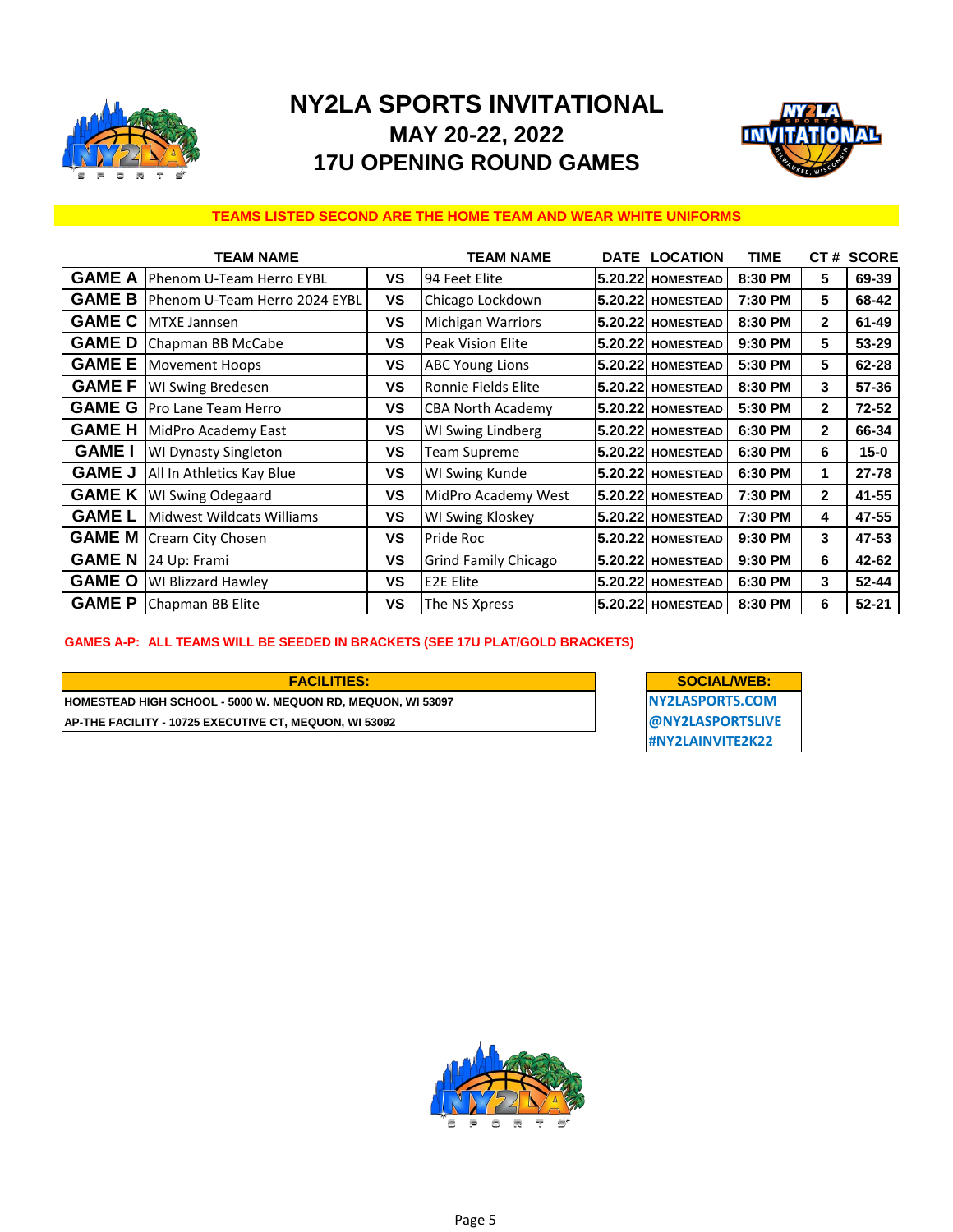

# **NY2LA SPORTS INVITATIONAL MAY 20-22, 2022 17U OPENING ROUND GAMES**



#### **TEAMS LISTED SECOND ARE THE HOME TEAM AND WEAR WHITE UNIFORMS**

|               | <b>TEAM NAME</b>              |           | <b>TEAM NAME</b>         | <b>DATE LOCATION</b>     | <b>TIME</b> | CT#            | <b>SCORE</b> |
|---------------|-------------------------------|-----------|--------------------------|--------------------------|-------------|----------------|--------------|
| <b>GAME A</b> | Phenom U-Team Herro EYBL      | ٧S        | 94 Feet Elite            | <b>5.20.22 HOMESTEAD</b> | 8:30 PM     | 5              | 69-39        |
| <b>GAME B</b> | Phenom U-Team Herro 2024 EYBL | <b>VS</b> | Chicago Lockdown         | 5.20.22 HOMESTEAD        | 7:30 PM     | 5              | 68-42        |
| <b>GAME C</b> | <b>MTXE Jannsen</b>           | ٧S        | <b>Michigan Warriors</b> | 5.20.22 HOMESTEAD        | 8:30 PM     | $\mathbf{2}$   | 61-49        |
| <b>GAME D</b> | Chapman BB McCabe             | ٧S        | <b>Peak Vision Elite</b> | 5.20.22 HOMESTEAD        | 9:30 PM     | 5              | 53-29        |
| <b>GAME E</b> | <b>Movement Hoops</b>         | VS        | <b>ABC Young Lions</b>   | 5.20.22 HOMESTEAD        | 5:30 PM     | 5              | 62-28        |
| <b>GAME F</b> | WI Swing Bredesen             | ٧S        | Ronnie Fields Elite      | <b>5.20.22 HOMESTEAD</b> | 8:30 PM     | 3              | 57-36        |
| <b>GAME G</b> | Pro Lane Team Herro           | ٧S        | <b>CBA North Academy</b> | 5.20.22 HOMESTEAD        | 5:30 PM     | $\overline{2}$ | $72 - 52$    |
| <b>GAME H</b> | MidPro Academy East           | ٧S        | WI Swing Lindberg        | 5.20.22 HOMESTEAD        | 6:30 PM     | $\mathbf{2}$   | 66-34        |
| <b>GAME I</b> | <b>WI Dynasty Singleton</b>   | <b>VS</b> | Team Supreme             | 5.20.22 HOMESTEAD        | 6:30 PM     | 6              | $15 - 0$     |
| <b>GAME J</b> | All In Athletics Kay Blue     | ٧S        | WI Swing Kunde           | 5.20.22 HOMESTEAD        | 6:30 PM     | 1.             | $27 - 78$    |
| <b>GAME K</b> | <b>WI Swing Odegaard</b>      | <b>VS</b> | MidPro Academy West      | 5.20.22 HOMESTEAD        | 7:30 PM     | $\mathbf{2}$   | 41-55        |
| <b>GAMEL</b>  | Midwest Wildcats Williams     | <b>VS</b> | WI Swing Kloskey         | 5.20.22 HOMESTEAD        | 7:30 PM     | 4              | 47-55        |
| <b>GAME M</b> | Cream City Chosen             | ٧S        | Pride Roc                | <b>5.20.22 HOMESTEAD</b> | 9:30 PM     | 3              | 47-53        |
| <b>GAME N</b> | 24 Up: Frami                  | ٧S        | Grind Family Chicago     | 5.20.22 HOMESTEAD        | 9:30 PM     | 6              | 42-62        |
| <b>GAME O</b> | <b>WI Blizzard Hawley</b>     | ٧S        | <b>E2E Elite</b>         | 5.20.22 HOMESTEAD        | 6:30 PM     | 3              | $52 - 44$    |
| <b>GAME P</b> | Chapman BB Elite              | <b>VS</b> | The NS Xpress            | 5.20.22 HOMESTEAD        | 8:30 PM     | 6              | $52 - 21$    |

#### **GAMES A-P: ALL TEAMS WILL BE SEEDED IN BRACKETS (SEE 17U PLAT/GOLD BRACKETS)**

#### **HOMESTEAD HIGH SCHOOL - 5000 W. MEQUON RD, MEQUON, WI 53097** NOW NOT MY2LASPORTS.COM **AP-THE FACILITY - 10725 EXECUTIVE CT, MEQUON, WI 53092 WE CONTROLLY A REPORTS AND A REPORT SERVICE OF A REPORT SERVICE FACILITIES: SOCIAL/WEB:**

**#NY2LAINVITE2K22**

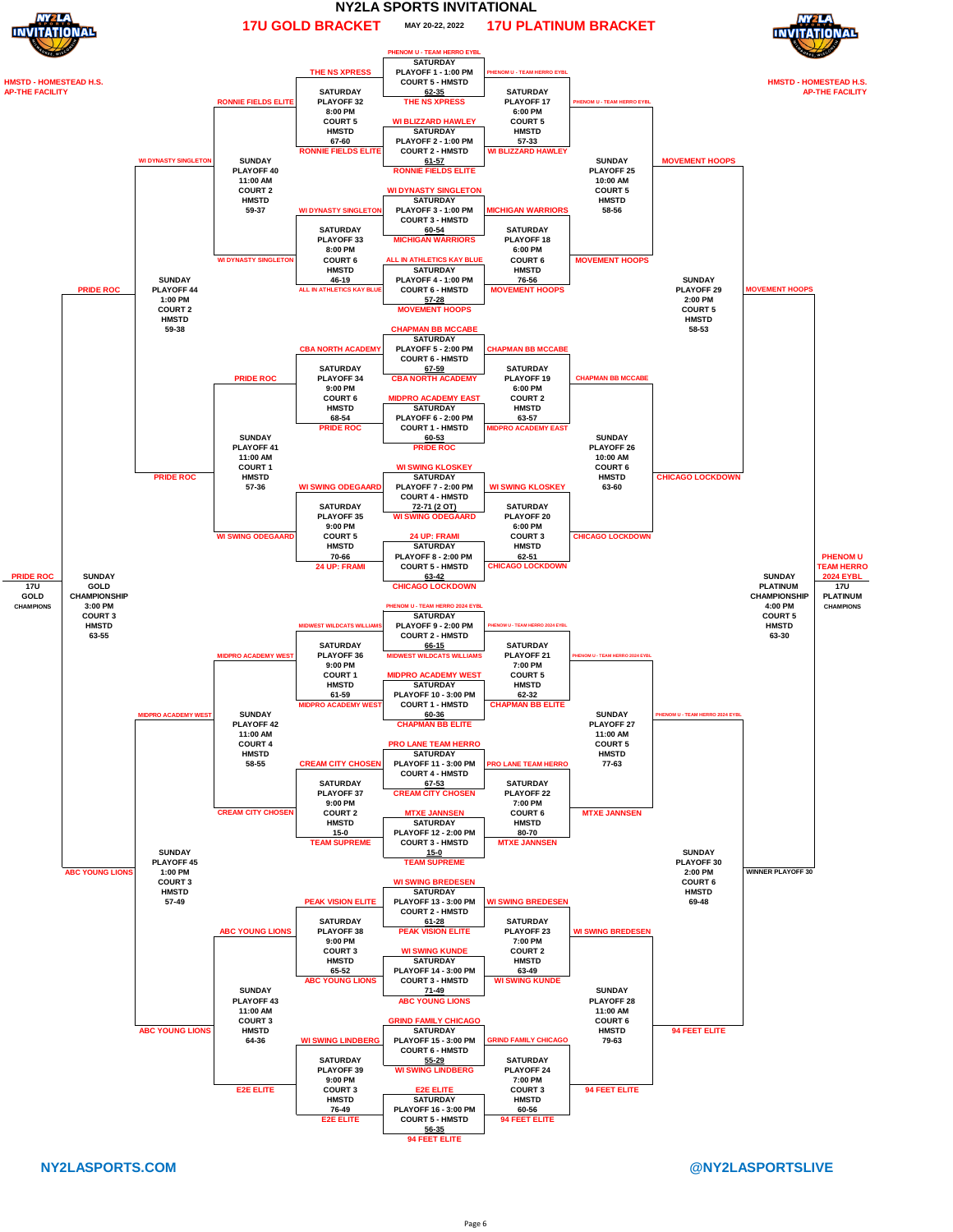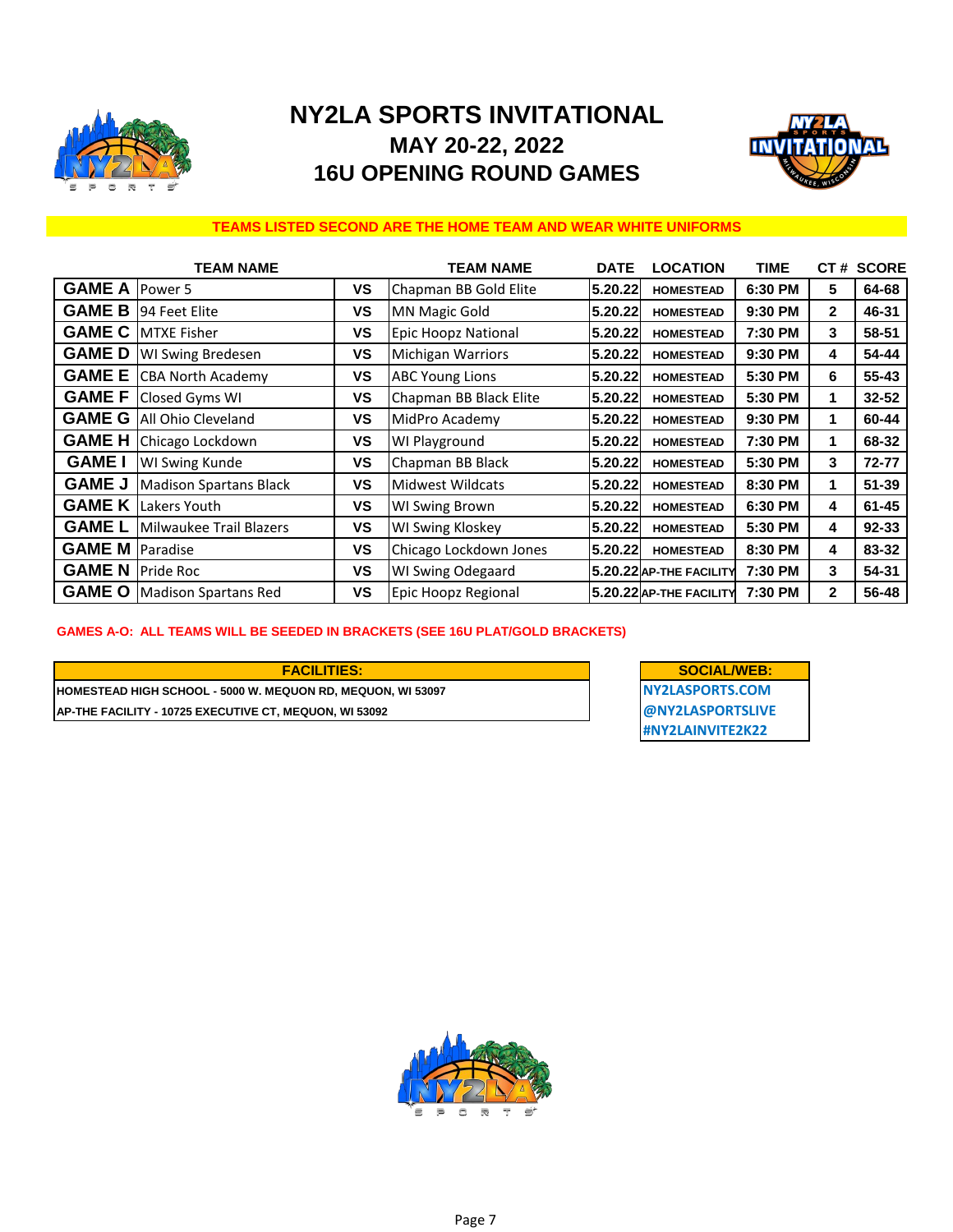

# **NY2LA SPORTS INVITATIONAL MAY 20-22, 2022 16U OPENING ROUND GAMES**



#### **TEAMS LISTED SECOND ARE THE HOME TEAM AND WEAR WHITE UNIFORMS**

|               | <b>TEAM NAME</b>                |           | <b>TEAM NAME</b>         | <b>DATE</b> | <b>LOCATION</b>         | <b>TIME</b> | CT#          | <b>SCORE</b> |
|---------------|---------------------------------|-----------|--------------------------|-------------|-------------------------|-------------|--------------|--------------|
| <b>GAME A</b> | Power 5                         | VS        | Chapman BB Gold Elite    | 5.20.22     | <b>HOMESTEAD</b>        | 6:30 PM     | 5            | 64-68        |
| <b>GAME B</b> | 194 Feet Elite                  | ٧S        | <b>MN Magic Gold</b>     | 5.20.22     | <b>HOMESTEAD</b>        | 9:30 PM     | 2            | 46-31        |
| <b>GAME C</b> | <b>MTXE Fisher</b>              | ٧S        | Epic Hoopz National      | 5.20.22     | <b>HOMESTEAD</b>        | 7:30 PM     | 3            | 58-51        |
| <b>GAMED</b>  | <b>WI Swing Bredesen</b>        | VS        | <b>Michigan Warriors</b> | 5.20.22     | <b>HOMESTEAD</b>        | 9:30 PM     | 4            | 54-44        |
|               | <b>GAME E</b> CBA North Academy | <b>VS</b> | <b>ABC Young Lions</b>   | 5.20.22     | <b>HOMESTEAD</b>        | 5:30 PM     | 6            | 55-43        |
| <b>GAME F</b> | Closed Gyms WI                  | VS        | Chapman BB Black Elite   | 5.20.22     | <b>HOMESTEAD</b>        | 5:30 PM     | 1            | 32-52        |
| <b>GAME G</b> | All Ohio Cleveland              | VS        | MidPro Academy           | 5.20.22     | <b>HOMESTEAD</b>        | 9:30 PM     | 1            | 60-44        |
| <b>GAME H</b> | Chicago Lockdown                | <b>VS</b> | WI Playground            | 5.20.22     | <b>HOMESTEAD</b>        | 7:30 PM     | 1            | 68-32        |
| <b>GAME</b>   | WI Swing Kunde                  | VS        | Chapman BB Black         | 5.20.22     | <b>HOMESTEAD</b>        | 5:30 PM     | 3            | 72-77        |
| <b>GAME J</b> | <b>Madison Spartans Black</b>   | VS        | <b>Midwest Wildcats</b>  | 5.20.22     | <b>HOMESTEAD</b>        | 8:30 PM     | 1            | $51 - 39$    |
| <b>GAME K</b> | Lakers Youth                    | ٧S        | WI Swing Brown           | 5.20.22     | <b>HOMESTEAD</b>        | 6:30 PM     | 4            | $61 - 45$    |
| <b>GAME L</b> | Milwaukee Trail Blazers         | VS        | <b>WI Swing Kloskey</b>  | 5.20.22     | <b>HOMESTEAD</b>        | 5:30 PM     | 4            | 92-33        |
| <b>GAME M</b> | Paradise                        | ٧S        | Chicago Lockdown Jones   | 5.20.22     | <b>HOMESTEAD</b>        | 8:30 PM     | 4            | 83-32        |
| <b>GAMEN</b>  | <b>Pride Roc</b>                | VS        | WI Swing Odegaard        |             | 5.20.22 AP-THE FACILITY | 7:30 PM     | 3            | 54-31        |
| <b>GAME O</b> | <b>Madison Spartans Red</b>     | <b>VS</b> | Epic Hoopz Regional      |             | 5.20.22 AP-THE FACILITY | 7:30 PM     | $\mathbf{2}$ | 56-48        |

#### **GAMES A-O: ALL TEAMS WILL BE SEEDED IN BRACKETS (SEE 16U PLAT/GOLD BRACKETS)**

#### **HOMESTEAD HIGH SCHOOL - 5000 W. MEQUON RD, MEQUON, WI 53097 NY2LASPORTS.COM FACILITIES: SOCIAL/WEB:**

**AP-THE FACILITY - 10725 EXECUTIVE CT, MEQUON, WI 53092 @NY2LASPORTSLIVE #NY2LAINVITE2K22**

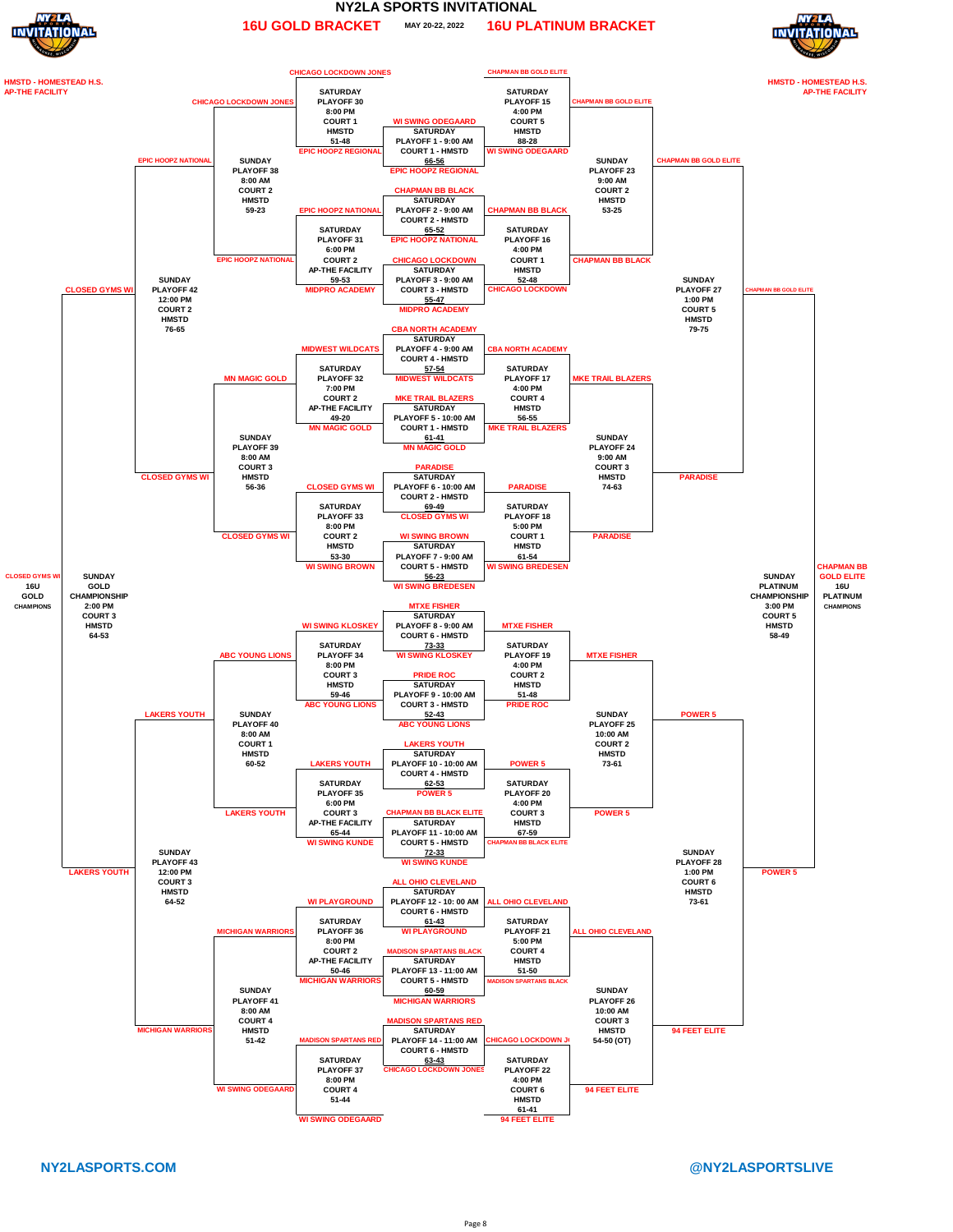

#### **MAY 20-22, 2022 NY2LA SPORTS INVITATIONAL 16U GOLD BRACKET 16U PLATINUM BRACKET**





**NY2LASPORTS.COM @NY2LASPORTSLIVE**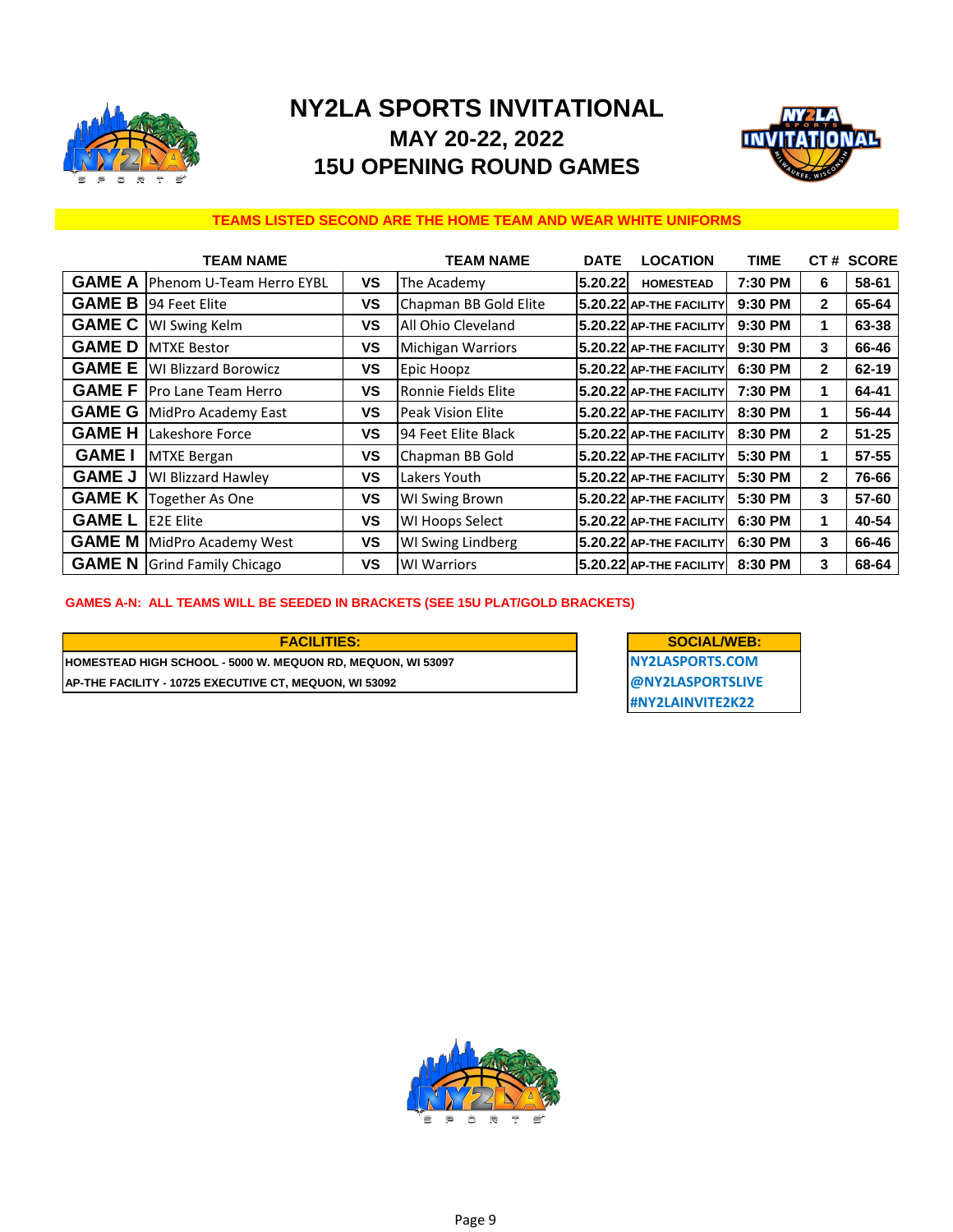

# **NY2LA SPORTS INVITATIONAL MAY 20-22, 2022 15U OPENING ROUND GAMES**



#### **TEAMS LISTED SECOND ARE THE HOME TEAM AND WEAR WHITE UNIFORMS**

|               | <b>TEAM NAME</b>                    |           | <b>TEAM NAME</b>         | <b>DATE</b> | <b>LOCATION</b>         | TIME    |              | CT# SCORE |
|---------------|-------------------------------------|-----------|--------------------------|-------------|-------------------------|---------|--------------|-----------|
| <b>GAME A</b> | Phenom U-Team Herro EYBL            | ٧S        | The Academy              | 5.20.22     | <b>HOMESTEAD</b>        | 7:30 PM | 6            | 58-61     |
| <b>GAME B</b> | 94 Feet Elite                       | <b>VS</b> | Chapman BB Gold Elite    |             | 5.20.22 AP-THE FACILITY | 9:30 PM | $\mathbf{2}$ | 65-64     |
| <b>GAME C</b> | <b>WI Swing Kelm</b>                | ٧S        | All Ohio Cleveland       |             | 5.20.22 AP-THE FACILITY | 9:30 PM | 1            | 63-38     |
| <b>GAMED</b>  | <b>MTXE Bestor</b>                  | ٧S        | <b>Michigan Warriors</b> |             | 5.20.22 AP-THE FACILITY | 9:30 PM | 3            | 66-46     |
| <b>GAME E</b> | <b>WI Blizzard Borowicz</b>         | VS        | Epic Hoopz               |             | 5.20.22 AP-THE FACILITY | 6:30 PM | $\mathbf{2}$ | 62-19     |
| <b>GAME F</b> | <b>IPro Lane Team Herro</b>         | ٧S        | Ronnie Fields Elite      |             | 5.20.22 AP-THE FACILITY | 7:30 PM | 1            | 64-41     |
|               | <b>GAME G   MidPro Academy East</b> | ٧S        | <b>Peak Vision Elite</b> |             | 5.20.22 AP-THE FACILITY | 8:30 PM | 1            | 56-44     |
| <b>GAME H</b> | Lakeshore Force                     | ٧S        | 194 Feet Elite Black     |             | 5.20.22 AP-THE FACILITY | 8:30 PM | $\mathbf{2}$ | $51 - 25$ |
| <b>GAME I</b> | <b>MTXE Bergan</b>                  | ٧S        | Chapman BB Gold          |             | 5.20.22 AP-THE FACILITY | 5:30 PM | 1            | 57-55     |
| <b>GAME J</b> | WI Blizzard Hawley                  | ٧S        | Lakers Youth             |             | 5.20.22 AP-THE FACILITY | 5:30 PM | $\mathbf{2}$ | 76-66     |
| <b>GAME K</b> | <b>Together As One</b>              | ٧S        | <b>WI Swing Brown</b>    |             | 5.20.22 AP-THE FACILITY | 5:30 PM | 3            | 57-60     |
| <b>GAME L</b> | <b>E2E Elite</b>                    | ٧S        | <b>WI Hoops Select</b>   |             | 5.20.22 AP-THE FACILITY | 6:30 PM | 1            | 40-54     |
| <b>GAME M</b> | MidPro Academy West                 | <b>VS</b> | <b>WI Swing Lindberg</b> |             | 5.20.22 AP-THE FACILITY | 6:30 PM | 3            | 66-46     |
| <b>GAME N</b> | <b>Grind Family Chicago</b>         | ٧S        | <b>WI Warriors</b>       |             | 5.20.22 AP-THE FACILITY | 8:30 PM | 3            | 68-64     |

#### **GAMES A-N: ALL TEAMS WILL BE SEEDED IN BRACKETS (SEE 15U PLAT/GOLD BRACKETS)**

**HOMESTEAD HIGH SCHOOL - 5000 W. MEQUON RD, MEQUON, WI 53097 AP-THE FACILITY - 10725 EXECUTIVE CT, MEQUON, WI 53092**  $FACILITIES:$ 

| <b>SOCIAL/WEB:</b> |  |
|--------------------|--|
| NY2LASPORTS.COM    |  |
| @NY2LASPORTSLIVE   |  |
| #NY2LAINVITE2K22   |  |

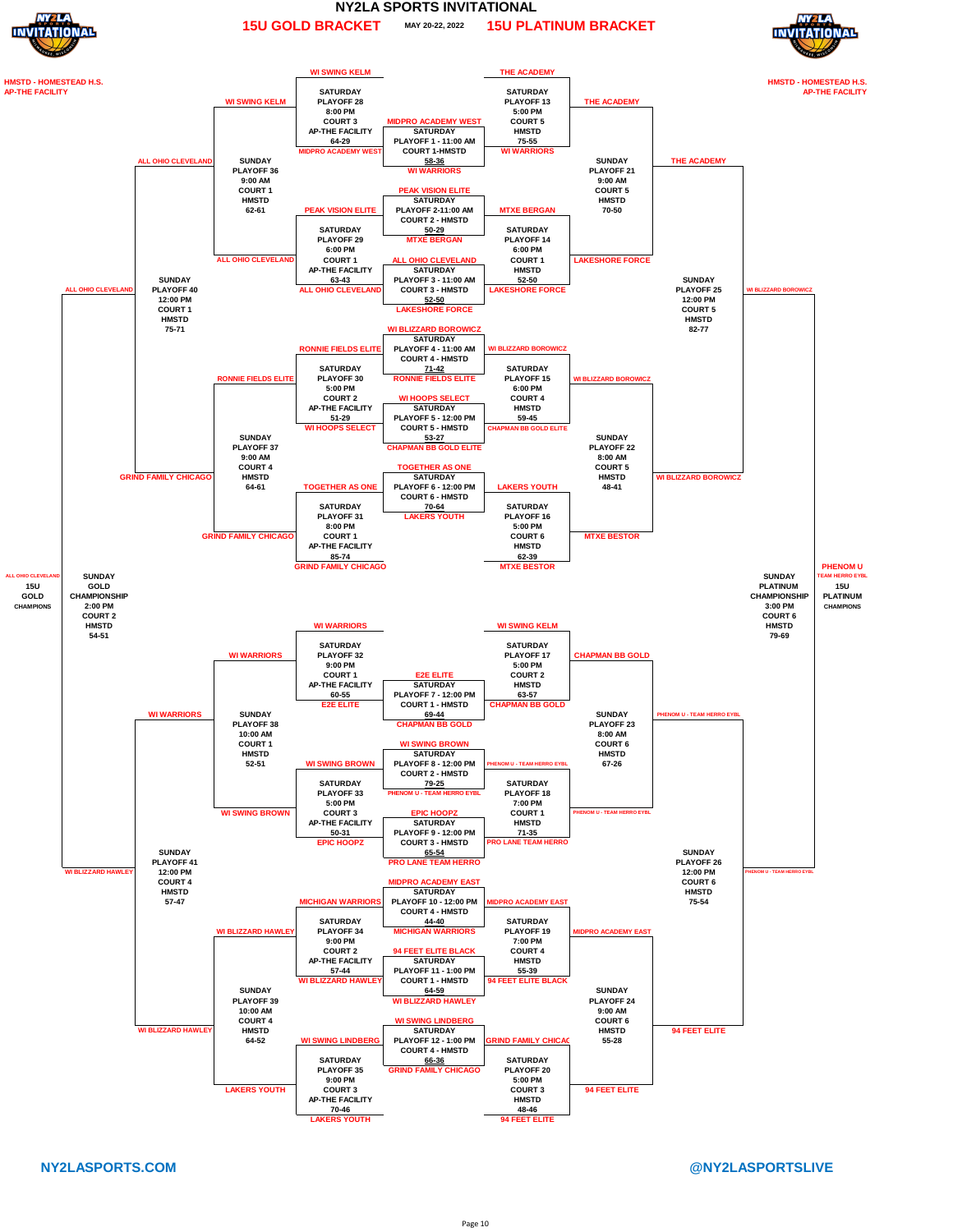

#### **MAY 20-22, 2022 NY2LA SPORTS INVITATIONAL 15U GOLD BRACKET 15U PLATINUM BRACKET**



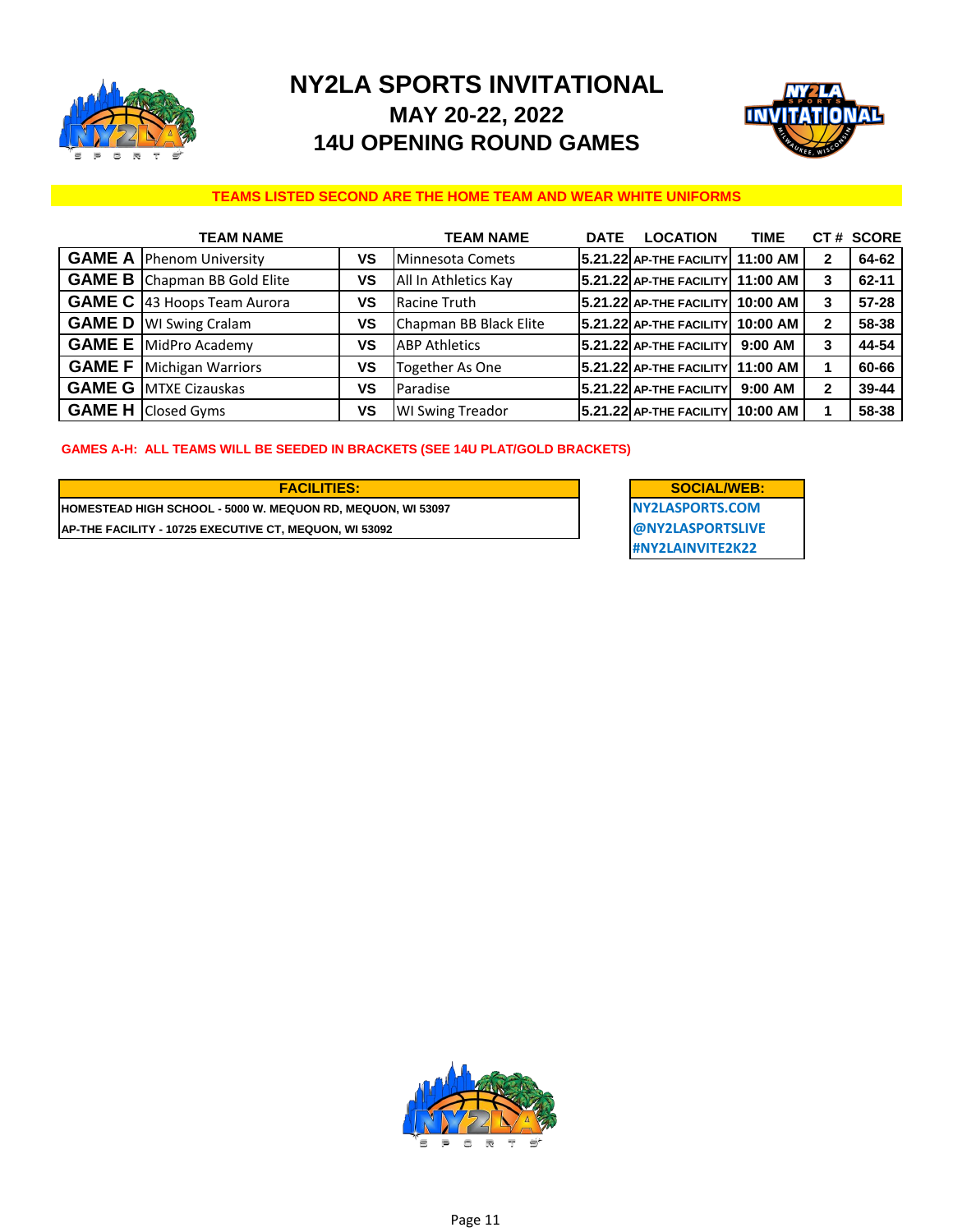

## **NY2LA SPORTS INVITATIONAL MAY 20-22, 2022 14U OPENING ROUND GAMES**



#### **TEAMS LISTED SECOND ARE THE HOME TEAM AND WEAR WHITE UNIFORMS**

| <b>TEAM NAME</b>                     |    | TEAM NAME               | <b>DATE</b> | <b>LOCATION</b>                  | <b>TIME</b> |              | CT# SCORE |
|--------------------------------------|----|-------------------------|-------------|----------------------------------|-------------|--------------|-----------|
| <b>GAME A   Phenom University</b>    | ٧S | Minnesota Comets        |             | $5.21.22$ AP-THE FACILITY        | 11:00 AM    | $\mathbf{2}$ | 64-62     |
| <b>GAME B</b> Chapman BB Gold Elite  | ٧S | All In Athletics Kay    |             | 5.21.22 AP-THE FACILITY 11:00 AM |             | 3            | $62 - 11$ |
| <b>GAME C</b>   43 Hoops Team Aurora | ٧S | Racine Truth            |             | 5.21.22 AP-THE FACILITY          | 10:00 AM    | 3            | $57 - 28$ |
| <b>GAME D</b>   WI Swing Cralam      | ٧S | Chapman BB Black Elite  |             | 5.21.22 AP-THE FACILITY          | 10:00 AM    | $\mathbf{2}$ | 58-38     |
| <b>GAME E</b> MidPro Academy         | ٧S | <b>ABP Athletics</b>    |             | 5.21.22 AP-THE FACILITY          | $9:00$ AM   | 3            | 44-54     |
| <b>GAME F</b> Michigan Warriors      | ٧S | <b>Together As One</b>  |             | $5.21.22$ AP-THE FACILITY        | 11:00 AM    |              | 60-66     |
| <b>GAME G MTXE Cizauskas</b>         | ٧S | Paradise                |             | $5.21.22$ AP-THE FACILITY        | $9:00$ AM   | $\mathbf{2}$ | 39-44     |
| <b>GAME H Closed Gyms</b>            | ٧S | <b>WI Swing Treador</b> |             | 5.21.22 AP-THE FACILITY 10:00 AM |             |              | 58-38     |

#### **GAMES A-H: ALL TEAMS WILL BE SEEDED IN BRACKETS (SEE 14U PLAT/GOLD BRACKETS)**

**HOMESTEAD HIGH SCHOOL - 5000 W. MEQUON RD, MEQUON, WI 53097 NY2LASPORTS.COM AP-THE FACILITY - 10725 EXECUTIVE CT, MEQUON, WI 53092 @NY2LASPORTSLIVE**

**#NY2LAINVITE2K22 FACILITIES: SOCIAL/WEB:**

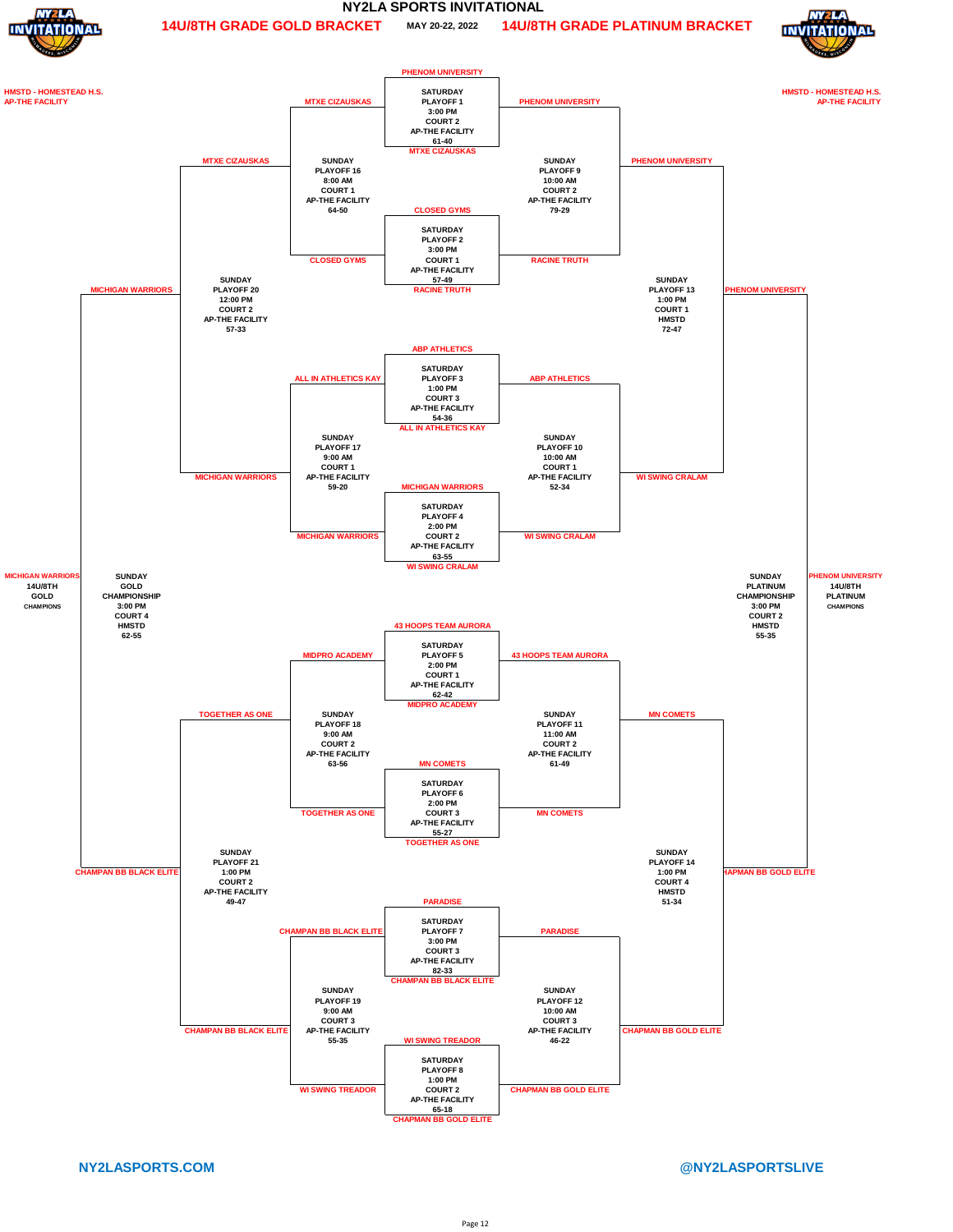



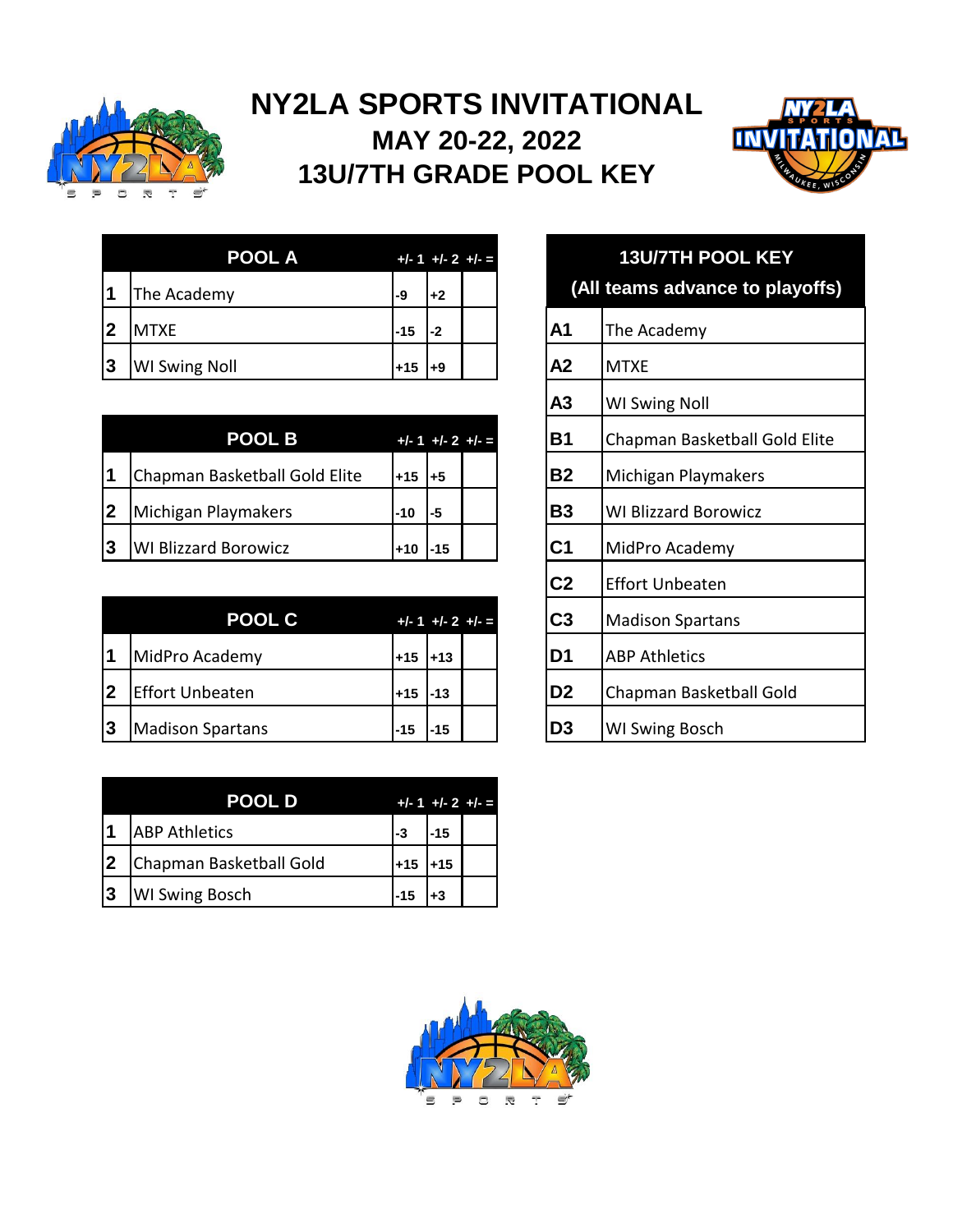

# **NY2LA SPORTS INVITATIONAL MAY 20-22, 2022 13U/7TH GRADE POOL KEY**



| <b>POOL A</b><br>$+/- 1 +/- 2 +/- =$ |                      |       |      |  |                | 13U/7TH P       |
|--------------------------------------|----------------------|-------|------|--|----------------|-----------------|
|                                      | The Academy          | ı-9   | $+2$ |  |                | (All teams adva |
|                                      | <b>MTXE</b>          | l-15  | $-2$ |  | A <sub>1</sub> | The Academy     |
| 13                                   | <b>WI Swing Noll</b> | $+15$ | +9   |  | A <sub>2</sub> | <b>MTXE</b>     |

|     | <b>POOL B</b>                 |            | $+/- 1 +/- 2 +/- =$ | <b>B1</b>      | Chapman Basketball          |
|-----|-------------------------------|------------|---------------------|----------------|-----------------------------|
| l 1 | Chapman Basketball Gold Elite | <b>+15</b> | l+5                 | <b>B2</b>      | Michigan Playmakers         |
| 2   | Michigan Playmakers           | $-10$      | l-5                 | <b>B3</b>      | <b>WI Blizzard Borowicz</b> |
| ვ   | <b>WI Blizzard Borowicz</b>   | l+10       | l-15                | C <sub>1</sub> | MidPro Academy              |

|                          | <b>POOL C</b>           |           |          | $+/- 1 +/- 2 +/- =$ | C3              | Madison Spartans        |
|--------------------------|-------------------------|-----------|----------|---------------------|-----------------|-------------------------|
| $\overline{\phantom{a}}$ | MidPro Academy          | l+15 l+13 |          |                     | ID1             | <b>JABP Athletics</b>   |
| 2                        | <b>Effort Unbeaten</b>  | $+15$     | $1 - 13$ |                     | ID <sub>2</sub> | Chapman Basketball Gold |
| Ι3                       | <b>Madison Spartans</b> | $-15$     | $-15$    |                     | ID3             | <b>WI Swing Bosch</b>   |

|             | <b>POOL D</b>           |             | $+/- 1 +/- 2 +/- =$ |  |
|-------------|-------------------------|-------------|---------------------|--|
|             | <b>ABP</b> Athletics    | -3          | -15                 |  |
| <u> 2</u>   | Chapman Basketball Gold | $+15$       | $+15$               |  |
| $ 3\rangle$ | <b>WI Swing Bosch</b>   | <b>I-15</b> |                     |  |

| <b>POOL A</b>       |       |       | $+/-1$ +/-2 +/- =     | <b>13U/7TH POOL KEY</b> |                                 |  |  |  |
|---------------------|-------|-------|-----------------------|-------------------------|---------------------------------|--|--|--|
| y                   | -9    | $+2$  |                       |                         | (All teams advance to playoffs) |  |  |  |
|                     | $-15$ | -2    |                       | A1                      | The Academy                     |  |  |  |
| 非                   | $+15$ | l+9   |                       | A2                      | <b>MTXE</b>                     |  |  |  |
|                     |       |       |                       | A3                      | <b>WI Swing Noll</b>            |  |  |  |
| <b>POOL B</b>       |       |       | $+/-1$ + $/-2$ + $/-$ | <b>B1</b>               | Chapman Basketball Gold Elite   |  |  |  |
| sketball Gold Elite | $+15$ | l+5   |                       | <b>B2</b>               | Michigan Playmakers             |  |  |  |
| <b>ymakers</b>      | -10   | -5    |                       | <b>B3</b>               | <b>WI Blizzard Borowicz</b>     |  |  |  |
| orowicz?            | $+10$ | $-15$ |                       | C <sub>1</sub>          | MidPro Academy                  |  |  |  |
|                     |       |       |                       | C <sub>2</sub>          | <b>Effort Unbeaten</b>          |  |  |  |
| <b>POOL C</b>       |       |       | $+/- 1 +/- 2 +/- =$   | C <sub>3</sub>          | <b>Madison Spartans</b>         |  |  |  |
| lemy                | $+15$ | $+13$ |                       | D <sub>1</sub>          | <b>ABP Athletics</b>            |  |  |  |
| ıten                | $+15$ | $-13$ |                       | D <sub>2</sub>          | Chapman Basketball Gold         |  |  |  |
| ırtans              | $-15$ | $-15$ |                       | D <sub>3</sub>          | WI Swing Bosch                  |  |  |  |